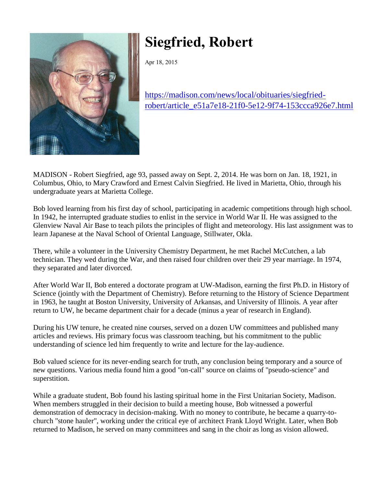

## **Siegfried, Robert**

Apr 18, 2015

[https://madison.com/news/local/obituaries/siegfried](https://madison.com/news/local/obituaries/siegfried-robert/article_e51a7e18-21f0-5e12-9f74-153ccca926e7.html)[robert/article\\_e51a7e18-21f0-5e12-9f74-153ccca926e7.html](https://madison.com/news/local/obituaries/siegfried-robert/article_e51a7e18-21f0-5e12-9f74-153ccca926e7.html)

MADISON - Robert Siegfried, age 93, passed away on Sept. 2, 2014. He was born on Jan. 18, 1921, in Columbus, Ohio, to Mary Crawford and Ernest Calvin Siegfried. He lived in Marietta, Ohio, through his undergraduate years at Marietta College.

Bob loved learning from his first day of school, participating in academic competitions through high school. In 1942, he interrupted graduate studies to enlist in the service in World War II. He was assigned to the Glenview Naval Air Base to teach pilots the principles of flight and meteorology. His last assignment was to learn Japanese at the Naval School of Oriental Language, Stillwater, Okla.

There, while a volunteer in the University Chemistry Department, he met Rachel McCutchen, a lab technician. They wed during the War, and then raised four children over their 29 year marriage. In 1974, they separated and later divorced.

After World War II, Bob entered a doctorate program at UW-Madison, earning the first Ph.D. in History of Science (jointly with the Department of Chemistry). Before returning to the History of Science Department in 1963, he taught at Boston University, University of Arkansas, and University of Illinois. A year after return to UW, he became department chair for a decade (minus a year of research in England).

During his UW tenure, he created nine courses, served on a dozen UW committees and published many articles and reviews. His primary focus was classroom teaching, but his commitment to the public understanding of science led him frequently to write and lecture for the lay-audience.

Bob valued science for its never-ending search for truth, any conclusion being temporary and a source of new questions. Various media found him a good "on-call" source on claims of "pseudo-science" and superstition.

While a graduate student, Bob found his lasting spiritual home in the First Unitarian Society, Madison. When members struggled in their decision to build a meeting house, Bob witnessed a powerful demonstration of democracy in decision-making. With no money to contribute, he became a quarry-tochurch "stone hauler", working under the critical eye of architect Frank Lloyd Wright. Later, when Bob returned to Madison, he served on many committees and sang in the choir as long as vision allowed.